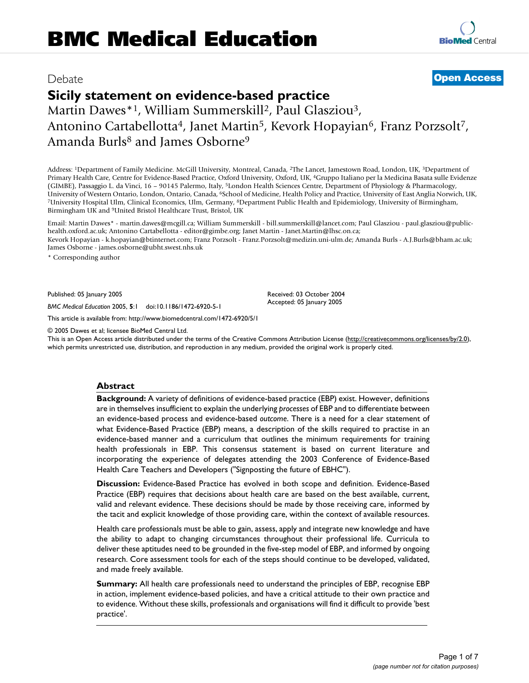# Debate **[Open Access](http://www.biomedcentral.com/info/about/charter/)**

**[BioMed](http://www.biomedcentral.com/)** Central

# **Sicily statement on evidence-based practice**

Martin Dawes\*<sup>1</sup>, William Summerskill<sup>2</sup>, Paul Glasziou<sup>3</sup>, Antonino Cartabellotta<sup>4</sup>, Janet Martin<sup>5</sup>, Kevork Hopayian<sup>6</sup>, Franz Porzsolt<sup>7</sup>, Amanda Burls<sup>8</sup> and James Osborne<sup>9</sup>

Address: 1Department of Family Medicine. McGill University, Montreal, Canada, 2The Lancet, Jamestown Road, London, UK, 3Department of Primary Health Care, Centre for Evidence-Based Practice, Oxford University, Oxford, UK, 4Gruppo Italiano per la Medicina Basata sulle Evidenze (GIMBE), Passaggio L. da Vinci, 16 – 90145 Palermo, Italy, <sup>5</sup>London Health Sciences Centre, Department of Physiology & Pharmacology,<br>University of Western Ontario, London, Ontario, Canada, <sup>6</sup>School of Medicine, Health Po 7University Hospital Ulm, Clinical Economics, Ulm, Germany, <sup>8</sup>Department Public Health and Epidemiology, University of Birmingham, Birmingham UK and 9United Bristol Healthcare Trust, Bristol, UK

Email: Martin Dawes\* - martin.dawes@mcgill.ca; William Summerskill - bill.summerskill@lancet.com; Paul Glasziou - paul.glasziou@publichealth.oxford.ac.uk; Antonino Cartabellotta - editor@gimbe.org; Janet Martin - Janet.Martin@lhsc.on.ca;

Kevork Hopayian - k.hopayian@btinternet.com; Franz Porzsolt - Franz.Porzsolt@medizin.uni-ulm.de; Amanda Burls - A.J.Burls@bham.ac.uk; James Osborne - james.osborne@ubht.swest.nhs.uk

> Received: 03 October 2004 Accepted: 05 January 2005

\* Corresponding author

Published: 05 January 2005

*BMC Medical Education* 2005, **5**:1 doi:10.1186/1472-6920-5-1

[This article is available from: http://www.biomedcentral.com/1472-6920/5/1](http://www.biomedcentral.com/1472-6920/5/1)

© 2005 Dawes et al; licensee BioMed Central Ltd.

This is an Open Access article distributed under the terms of the Creative Commons Attribution License [\(http://creativecommons.org/licenses/by/2.0\)](http://creativecommons.org/licenses/by/2.0), which permits unrestricted use, distribution, and reproduction in any medium, provided the original work is properly cited.

## **Abstract**

**Background:** A variety of definitions of evidence-based practice (EBP) exist. However, definitions are in themselves insufficient to explain the underlying *processes* of EBP and to differentiate between an evidence-based process and evidence-based *outcome*. There is a need for a clear statement of what Evidence-Based Practice (EBP) means, a description of the skills required to practise in an evidence-based manner and a curriculum that outlines the minimum requirements for training health professionals in EBP. This consensus statement is based on current literature and incorporating the experience of delegates attending the 2003 Conference of Evidence-Based Health Care Teachers and Developers ("Signposting the future of EBHC").

**Discussion:** Evidence-Based Practice has evolved in both scope and definition. Evidence-Based Practice (EBP) requires that decisions about health care are based on the best available, current, valid and relevant evidence. These decisions should be made by those receiving care, informed by the tacit and explicit knowledge of those providing care, within the context of available resources.

Health care professionals must be able to gain, assess, apply and integrate new knowledge and have the ability to adapt to changing circumstances throughout their professional life. Curricula to deliver these aptitudes need to be grounded in the five-step model of EBP, and informed by ongoing research. Core assessment tools for each of the steps should continue to be developed, validated, and made freely available.

**Summary:** All health care professionals need to understand the principles of EBP, recognise EBP in action, implement evidence-based policies, and have a critical attitude to their own practice and to evidence. Without these skills, professionals and organisations will find it difficult to provide 'best practice'.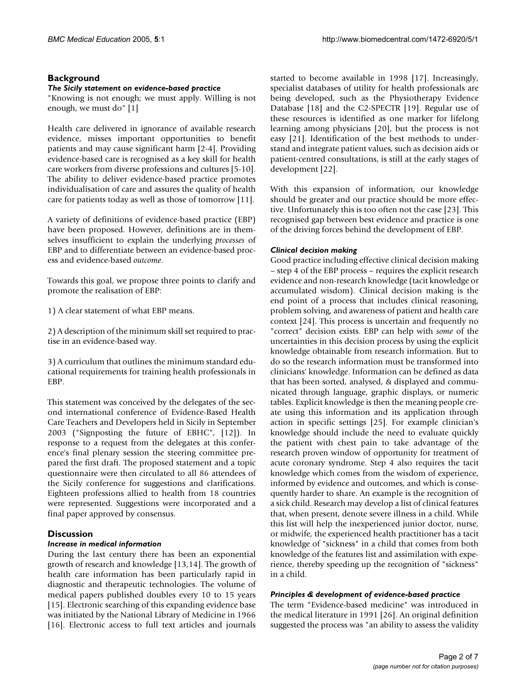# **Background**

## *The Sicily statement on evidence-based practice*

"Knowing is not enough; we must apply. Willing is not enough, we must do" [1]

Health care delivered in ignorance of available research evidence, misses important opportunities to benefit patients and may cause significant harm [2-4]. Providing evidence-based care is recognised as a key skill for health care workers from diverse professions and cultures [5-10]. The ability to deliver evidence-based practice promotes individualisation of care and assures the quality of health care for patients today as well as those of tomorrow [11].

A variety of definitions of evidence-based practice (EBP) have been proposed. However, definitions are in themselves insufficient to explain the underlying *processes* of EBP and to differentiate between an evidence-based process and evidence-based *outcome*.

Towards this goal, we propose three points to clarify and promote the realisation of EBP:

1) A clear statement of what EBP means.

2) A description of the minimum skill set required to practise in an evidence-based way.

3) A curriculum that outlines the minimum standard educational requirements for training health professionals in EBP.

This statement was conceived by the delegates of the second international conference of Evidence-Based Health Care Teachers and Developers held in Sicily in September 2003 ("Signposting the future of EBHC", [12]). In response to a request from the delegates at this conference's final plenary session the steering committee prepared the first draft. The proposed statement and a topic questionnaire were then circulated to all 86 attendees of the Sicily conference for suggestions and clarifications. Eighteen professions allied to health from 18 countries were represented. Suggestions were incorporated and a final paper approved by consensus.

# **Discussion**

# *Increase in medical information*

During the last century there has been an exponential growth of research and knowledge [13,14]. The growth of health care information has been particularly rapid in diagnostic and therapeutic technologies. The volume of medical papers published doubles every 10 to 15 years [15]. Electronic searching of this expanding evidence base was initiated by the National Library of Medicine in 1966 [16]. Electronic access to full text articles and journals started to become available in 1998 [17]. Increasingly, specialist databases of utility for health professionals are being developed, such as the Physiotherapy Evidence Database [18] and the C2-SPECTR [19]. Regular use of these resources is identified as one marker for lifelong learning among physicians [20], but the process is not easy [21]. Identification of the best methods to understand and integrate patient values, such as decision aids or patient-centred consultations, is still at the early stages of development [22].

With this expansion of information, our knowledge should be greater and our practice should be more effective. Unfortunately this is too often not the case [23]. This recognised gap between best evidence and practice is one of the driving forces behind the development of EBP.

# *Clinical decision making*

Good practice including effective clinical decision making – step 4 of the EBP process – requires the explicit research evidence and non-research knowledge (tacit knowledge or accumulated wisdom). Clinical decision making is the end point of a process that includes clinical reasoning, problem solving, and awareness of patient and health care context [24]. This process is uncertain and frequently no "correct" decision exists. EBP can help with *some* of the uncertainties in this decision process by using the explicit knowledge obtainable from research information. But to do so the research information must be transformed into clinicians' knowledge. Information can be defined as data that has been sorted, analysed, & displayed and communicated through language, graphic displays, or numeric tables. Explicit knowledge is then the meaning people create using this information and its application through action in specific settings [25]. For example clinician's knowledge should include the need to evaluate quickly the patient with chest pain to take advantage of the research proven window of opportunity for treatment of acute coronary syndrome. Step 4 also requires the tacit knowledge which comes from the wisdom of experience, informed by evidence and outcomes, and which is consequently harder to share. An example is the recognition of a sick child. Research may develop a list of clinical features that, when present, denote severe illness in a child. While this list will help the inexperienced junior doctor, nurse, or midwife, the experienced health practitioner has a tacit knowledge of "sickness" in a child that comes from both knowledge of the features list and assimilation with experience, thereby speeding up the recognition of "sickness" in a child.

# *Principles & development of evidence-based practice*

The term "Evidence-based medicine" was introduced in the medical literature in 1991 [26]. An original definition suggested the process was "an ability to assess the validity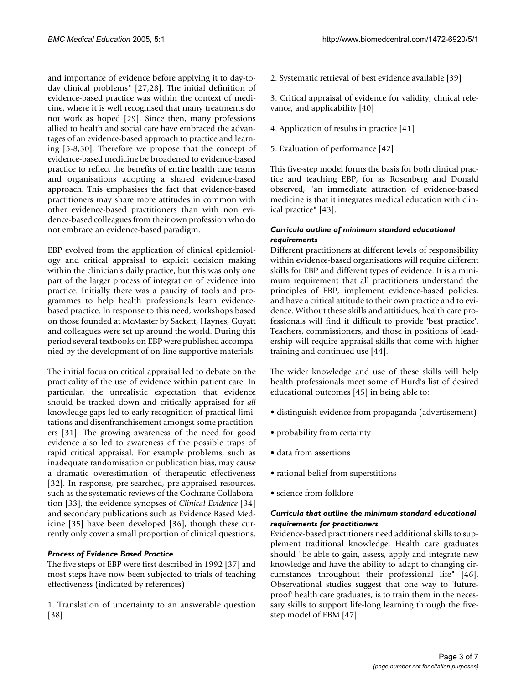and importance of evidence before applying it to day-today clinical problems" [27,28]. The initial definition of evidence-based practice was within the context of medicine, where it is well recognised that many treatments do not work as hoped [29]. Since then, many professions allied to health and social care have embraced the advantages of an evidence-based approach to practice and learning [5-8,30]. Therefore we propose that the concept of evidence-based medicine be broadened to evidence-based practice to reflect the benefits of entire health care teams and organisations adopting a shared evidence-based approach. This emphasises the fact that evidence-based practitioners may share more attitudes in common with other evidence-based practitioners than with non evidence-based colleagues from their own profession who do not embrace an evidence-based paradigm.

EBP evolved from the application of clinical epidemiology and critical appraisal to explicit decision making within the clinician's daily practice, but this was only one part of the larger process of integration of evidence into practice. Initially there was a paucity of tools and programmes to help health professionals learn evidencebased practice. In response to this need, workshops based on those founded at McMaster by Sackett, Haynes, Guyatt and colleagues were set up around the world. During this period several textbooks on EBP were published accompanied by the development of on-line supportive materials.

The initial focus on critical appraisal led to debate on the practicality of the use of evidence within patient care. In particular, the unrealistic expectation that evidence should be tracked down and critically appraised for *all* knowledge gaps led to early recognition of practical limitations and disenfranchisement amongst some practitioners [31]. The growing awareness of the need for good evidence also led to awareness of the possible traps of rapid critical appraisal. For example problems, such as inadequate randomisation or publication bias, may cause a dramatic overestimation of therapeutic effectiveness [32]. In response, pre-searched, pre-appraised resources, such as the systematic reviews of the Cochrane Collaboration [33], the evidence synopses of *Clinical Evidence* [34] and secondary publications such as Evidence Based Medicine [35] have been developed [36], though these currently only cover a small proportion of clinical questions.

# *Process of Evidence Based Practice*

The five steps of EBP were first described in 1992 [37] and most steps have now been subjected to trials of teaching effectiveness (indicated by references)

1. Translation of uncertainty to an answerable question [38]

2. Systematic retrieval of best evidence available [39]

3. Critical appraisal of evidence for validity, clinical relevance, and applicability [40]

- 4. Application of results in practice [41]
- 5. Evaluation of performance [42]

This five-step model forms the basis for both clinical practice and teaching EBP, for as Rosenberg and Donald observed, "an immediate attraction of evidence-based medicine is that it integrates medical education with clinical practice" [43].

# *Curricula outline of minimum standard educational requirements*

Different practitioners at different levels of responsibility within evidence-based organisations will require different skills for EBP and different types of evidence. It is a minimum requirement that all practitioners understand the principles of EBP, implement evidence-based policies, and have a critical attitude to their own practice and to evidence. Without these skills and attitidues, health care professionals will find it difficult to provide 'best practice'. Teachers, commissioners, and those in positions of leadership will require appraisal skills that come with higher training and continued use [44].

The wider knowledge and use of these skills will help health professionals meet some of Hurd's list of desired educational outcomes [45] in being able to:

- distinguish evidence from propaganda (advertisement)
- probability from certainty
- data from assertions
- rational belief from superstitions
- science from folklore

# *Curricula that outline the minimum standard educational requirements for practitioners*

Evidence-based practitioners need additional skills to supplement traditional knowledge. Health care graduates should "be able to gain, assess, apply and integrate new knowledge and have the ability to adapt to changing circumstances throughout their professional life" [46]. Observational studies suggest that one way to 'futureproof' health care graduates, is to train them in the necessary skills to support life-long learning through the fivestep model of EBM [47].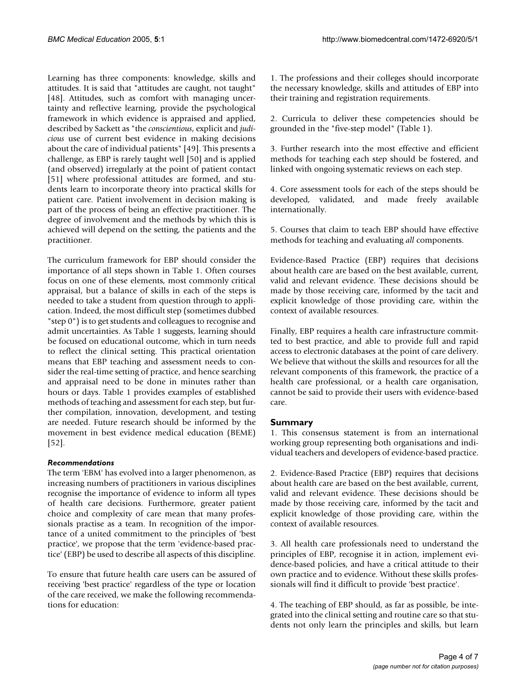Learning has three components: knowledge, skills and attitudes. It is said that "attitudes are caught, not taught" [48]. Attitudes, such as comfort with managing uncertainty and reflective learning, provide the psychological framework in which evidence is appraised and applied, described by Sackett as "the *conscientious*, explicit and *judicious* use of current best evidence in making decisions about the care of individual patients" [49]. This presents a challenge, as EBP is rarely taught well [50] and is applied (and observed) irregularly at the point of patient contact [51] where professional attitudes are formed, and students learn to incorporate theory into practical skills for patient care. Patient involvement in decision making is part of the process of being an effective practitioner. The degree of involvement and the methods by which this is achieved will depend on the setting, the patients and the practitioner.

The curriculum framework for EBP should consider the importance of all steps shown in Table [1.](#page-4-0) Often courses focus on one of these elements, most commonly critical appraisal, but a balance of skills in each of the steps is needed to take a student from question through to application. Indeed, the most difficult step (sometimes dubbed "step 0") is to get students and colleagues to recognise and admit uncertainties. As Table [1](#page-4-0) suggests, learning should be focused on educational outcome, which in turn needs to reflect the clinical setting. This practical orientation means that EBP teaching and assessment needs to consider the real-time setting of practice, and hence searching and appraisal need to be done in minutes rather than hours or days. Table [1](#page-4-0) provides examples of established methods of teaching and assessment for each step, but further compilation, innovation, development, and testing are needed. Future research should be informed by the movement in best evidence medical education (BEME) [52].

# *Recommendations*

The term 'EBM' has evolved into a larger phenomenon, as increasing numbers of practitioners in various disciplines recognise the importance of evidence to inform all types of health care decisions. Furthermore, greater patient choice and complexity of care mean that many professionals practise as a team. In recognition of the importance of a united commitment to the principles of 'best practice', we propose that the term 'evidence-based practice' (EBP) be used to describe all aspects of this discipline.

To ensure that future health care users can be assured of receiving 'best practice' regardless of the type or location of the care received, we make the following recommendations for education:

1. The professions and their colleges should incorporate the necessary knowledge, skills and attitudes of EBP into their training and registration requirements.

2. Curricula to deliver these competencies should be grounded in the "five-step model" (Table [1](#page-4-0)).

3. Further research into the most effective and efficient methods for teaching each step should be fostered, and linked with ongoing systematic reviews on each step.

4. Core assessment tools for each of the steps should be developed, validated, and made freely available internationally.

5. Courses that claim to teach EBP should have effective methods for teaching and evaluating *all* components.

Evidence-Based Practice (EBP) requires that decisions about health care are based on the best available, current, valid and relevant evidence. These decisions should be made by those receiving care, informed by the tacit and explicit knowledge of those providing care, within the context of available resources.

Finally, EBP requires a health care infrastructure committed to best practice, and able to provide full and rapid access to electronic databases at the point of care delivery. We believe that without the skills and resources for all the relevant components of this framework, the practice of a health care professional, or a health care organisation, cannot be said to provide their users with evidence-based care.

# **Summary**

1. This consensus statement is from an international working group representing both organisations and individual teachers and developers of evidence-based practice.

2. Evidence-Based Practice (EBP) requires that decisions about health care are based on the best available, current, valid and relevant evidence. These decisions should be made by those receiving care, informed by the tacit and explicit knowledge of those providing care, within the context of available resources.

3. All health care professionals need to understand the principles of EBP, recognise it in action, implement evidence-based policies, and have a critical attitude to their own practice and to evidence. Without these skills professionals will find it difficult to provide 'best practice'.

4. The teaching of EBP should, as far as possible, be integrated into the clinical setting and routine care so that students not only learn the principles and skills, but learn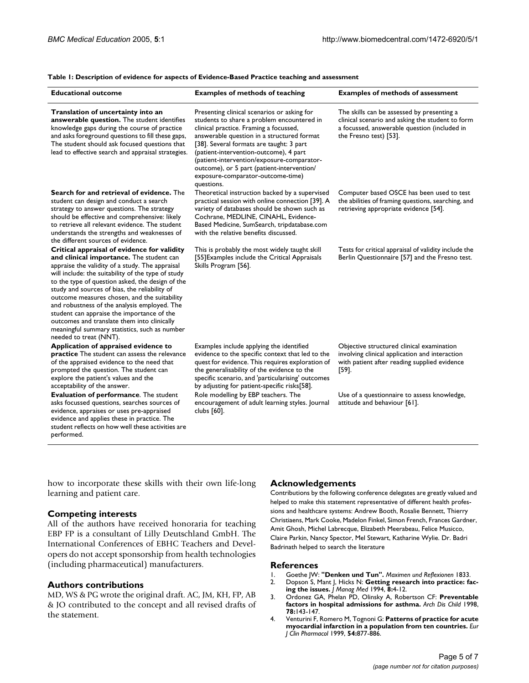<span id="page-4-0"></span>**Table 1: Description of evidence for aspects of Evidence-Based Practice teaching and assessment**

| <b>Educational outcome</b>                                                                                                                                                                                                                                                                                                                                                                                                                                                                                                                                                    | <b>Examples of methods of teaching</b>                                                                                                                                                                                                                                                                                                                                                                                 | <b>Examples of methods of assessment</b>                                                                                                                                 |
|-------------------------------------------------------------------------------------------------------------------------------------------------------------------------------------------------------------------------------------------------------------------------------------------------------------------------------------------------------------------------------------------------------------------------------------------------------------------------------------------------------------------------------------------------------------------------------|------------------------------------------------------------------------------------------------------------------------------------------------------------------------------------------------------------------------------------------------------------------------------------------------------------------------------------------------------------------------------------------------------------------------|--------------------------------------------------------------------------------------------------------------------------------------------------------------------------|
| Translation of uncertainty into an<br>answerable question. The student identifies<br>knowledge gaps during the course of practice<br>and asks foreground questions to fill these gaps,<br>The student should ask focused questions that<br>lead to effective search and appraisal strategies.                                                                                                                                                                                                                                                                                 | Presenting clinical scenarios or asking for<br>students to share a problem encountered in<br>clinical practice. Framing a focussed,<br>answerable question in a structured format<br>[38]. Several formats are taught: 3 part<br>(patient-intervention-outcome), 4 part<br>(patient-intervention/exposure-comparator-<br>outcome), or 5 part (patient-intervention/<br>exposure-comparator-outcome-time)<br>questions. | The skills can be assessed by presenting a<br>clinical scenario and asking the student to form<br>a focussed, answerable question (included in<br>the Fresno test) [53]. |
| Search for and retrieval of evidence. The<br>student can design and conduct a search<br>strategy to answer questions. The strategy<br>should be effective and comprehensive: likely<br>to retrieve all relevant evidence. The student<br>understands the strengths and weaknesses of<br>the different sources of evidence.                                                                                                                                                                                                                                                    | Theoretical instruction backed by a supervised<br>practical session with online connection [39]. A<br>variety of databases should be shown such as<br>Cochrane, MEDLINE, CINAHL, Evidence-<br>Based Medicine, SumSearch, tripdatabase.com<br>with the relative benefits discussed.                                                                                                                                     | Computer based OSCE has been used to test<br>the abilities of framing questions, searching, and<br>retrieving appropriate evidence [54].                                 |
| Critical appraisal of evidence for validity<br>and clinical importance. The student can<br>appraise the validity of a study. The appraisal<br>will include: the suitability of the type of study<br>to the type of question asked, the design of the<br>study and sources of bias, the reliability of<br>outcome measures chosen, and the suitability<br>and robustness of the analysis employed. The<br>student can appraise the importance of the<br>outcomes and translate them into clinically<br>meaningful summary statistics, such as number<br>needed to treat (NNT). | This is probably the most widely taught skill<br>[55] Examples include the Critical Appraisals<br>Skills Program [56].                                                                                                                                                                                                                                                                                                 | Tests for critical appraisal of validity include the<br>Berlin Questionnaire [57] and the Fresno test.                                                                   |
| Application of appraised evidence to<br><b>practice</b> The student can assess the relevance<br>of the appraised evidence to the need that<br>prompted the question. The student can<br>explore the patient's values and the<br>acceptability of the answer.                                                                                                                                                                                                                                                                                                                  | Examples include applying the identified<br>evidence to the specific context that led to the<br>quest for evidence. This requires exploration of<br>the generalisability of the evidence to the<br>specific scenario, and 'particularising' outcomes<br>by adjusting for patient-specific risks[58].                                                                                                                   | Objective structured clinical examination<br>involving clinical application and interaction<br>with patient after reading supplied evidence<br>$[59]$ .                  |
| <b>Evaluation of performance.</b> The student<br>asks focussed questions, searches sources of<br>evidence, appraises or uses pre-appraised<br>evidence and applies these in practice. The<br>student reflects on how well these activities are<br>performed.                                                                                                                                                                                                                                                                                                                  | Role modelling by EBP teachers. The<br>encouragement of adult learning styles. Journal<br>clubs [60].                                                                                                                                                                                                                                                                                                                  | Use of a questionnaire to assess knowledge,<br>attitude and behaviour [61].                                                                                              |

how to incorporate these skills with their own life-long learning and patient care.

# **Competing interests**

All of the authors have received honoraria for teaching EBP FP is a consultant of Lilly Deutschland GmbH. The International Conferences of EBHC Teachers and Developers do not accept sponsorship from health technologies (including pharmaceutical) manufacturers.

# **Authors contributions**

MD, WS & PG wrote the original draft. AC, JM, KH, FP, AB & JO contributed to the concept and all revised drafts of the statement.

## **Acknowledgements**

Contributions by the following conference delegates are greatly valued and helped to make this statement representative of different health professions and healthcare systems: Andrew Booth, Rosalie Bennett, Thierry Christiaens, Mark Cooke, Madelon Finkel, Simon French, Frances Gardner, Amit Ghosh, Michel Labrecque, Elizabeth Meerabeau, Felice Musicco, Claire Parkin, Nancy Spector, Mel Stewart, Katharine Wylie. Dr. Badri Badrinath helped to search the literature

## **References**

- 1. Goethe JW: **"Denken und Tun".** *Maximen und Reflexionen* 1833.
- Dopson S, Mant J, Hicks N: [Getting research into practice: fac](http://www.ncbi.nlm.nih.gov/entrez/query.fcgi?cmd=Retrieve&db=PubMed&dopt=Abstract&list_uids=10140734)**[ing the issues.](http://www.ncbi.nlm.nih.gov/entrez/query.fcgi?cmd=Retrieve&db=PubMed&dopt=Abstract&list_uids=10140734)** *J Manag Med* 1994, **8:**4-12.
- 3. Ordonez GA, Phelan PD, Olinsky A, Robertson CF: **[Preventable](http://www.ncbi.nlm.nih.gov/entrez/query.fcgi?cmd=Retrieve&db=PubMed&dopt=Abstract&list_uids=9579156) [factors in hospital admissions for asthma.](http://www.ncbi.nlm.nih.gov/entrez/query.fcgi?cmd=Retrieve&db=PubMed&dopt=Abstract&list_uids=9579156)** *Arch Dis Child* 1998, **78:**143-147.
- 4. Venturini F, Romero M, Tognoni G: **[Patterns of practice for acute](http://www.ncbi.nlm.nih.gov/entrez/query.fcgi?cmd=Retrieve&db=PubMed&dopt=Abstract&list_uids=10027664) [myocardial infarction in a population from ten countries.](http://www.ncbi.nlm.nih.gov/entrez/query.fcgi?cmd=Retrieve&db=PubMed&dopt=Abstract&list_uids=10027664)** *Eur J Clin Pharmacol* 1999, **54:**877-886.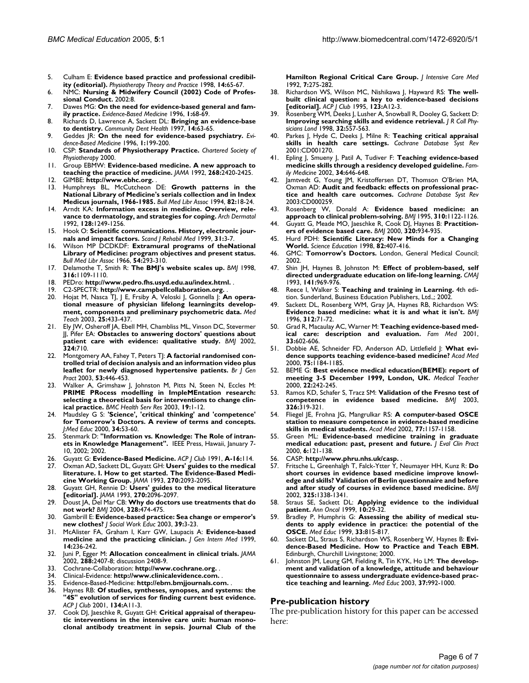- 5. Culham E: **Evidence based practice and professional credibility (editorial).** *Physiotherapy Theory and Practice* 1998, **14:**65-67.
- 6. NMC: **Nursing & Midwifery Council (2002) Code of Professional Conduct.** 2002:8.
- 7. Dawes MG: **On the need for evidence-based general and family practice.** *Evidence-Based Medicine* 1996, **1:**68-69.
- 8. Richards D, Lawrence A, Sackett DL: **[Bringing an evidence-base](http://www.ncbi.nlm.nih.gov/entrez/query.fcgi?cmd=Retrieve&db=PubMed&dopt=Abstract&list_uids=9225531) [to dentistry.](http://www.ncbi.nlm.nih.gov/entrez/query.fcgi?cmd=Retrieve&db=PubMed&dopt=Abstract&list_uids=9225531)** *Community Dent Health* 1997, **14:**63-65.
- 9. Geddes JR: **On the need for evidence-based psychiatry.** *Evidence-Based Medicine* 1996, **1:**199-200.
- 10. CSP: **Standards of Physiotherapy Practice.** *Chartered Society of Physiotherapy* 2000.
- 11. Group EBMW: **[Evidence-based medicine. A new approach to](http://www.ncbi.nlm.nih.gov/entrez/query.fcgi?cmd=Retrieve&db=PubMed&dopt=Abstract&list_uids=1404801) [teaching the practice of medicine.](http://www.ncbi.nlm.nih.gov/entrez/query.fcgi?cmd=Retrieve&db=PubMed&dopt=Abstract&list_uids=1404801)** *JAMA* 1992, **268:**2420-2425.
- 12. GIMBE: **http://www.ebhc.org.** .
- 13. Humphreys BL, McCutcheon DE: **[Growth patterns in the](http://www.ncbi.nlm.nih.gov/entrez/query.fcgi?cmd=Retrieve&db=PubMed&dopt=Abstract&list_uids=8136756) [National Library of Medicine's serials collection and in Index](http://www.ncbi.nlm.nih.gov/entrez/query.fcgi?cmd=Retrieve&db=PubMed&dopt=Abstract&list_uids=8136756) [Medicus journals, 1966-1985.](http://www.ncbi.nlm.nih.gov/entrez/query.fcgi?cmd=Retrieve&db=PubMed&dopt=Abstract&list_uids=8136756)** *Bull Med Libr Assoc* 1994, **82:**18-24.
- Arndt KA: [Information excess in medicine. Overview, rele](http://www.ncbi.nlm.nih.gov/entrez/query.fcgi?cmd=Retrieve&db=PubMed&dopt=Abstract&list_uids=1519941)**[vance to dermatology, and strategies for coping.](http://www.ncbi.nlm.nih.gov/entrez/query.fcgi?cmd=Retrieve&db=PubMed&dopt=Abstract&list_uids=1519941)** *Arch Dermatol* 1992, **128:**1249-1256.
- 15. Hook O: **[Scientific communications. History, electronic jour](http://www.ncbi.nlm.nih.gov/entrez/query.fcgi?cmd=Retrieve&db=PubMed&dopt=Abstract&list_uids=10229997)[nals and impact factors.](http://www.ncbi.nlm.nih.gov/entrez/query.fcgi?cmd=Retrieve&db=PubMed&dopt=Abstract&list_uids=10229997)** *Scand J Rehabil Med* 1999, **31:**3-7.
- 16. Wilson MP DCDKDF: **[Extramural programs of theNational](http://www.ncbi.nlm.nih.gov/entrez/query.fcgi?cmd=Retrieve&db=PubMed&dopt=Abstract&list_uids=5921469) [Library of Medicine: program objectives and present status.](http://www.ncbi.nlm.nih.gov/entrez/query.fcgi?cmd=Retrieve&db=PubMed&dopt=Abstract&list_uids=5921469)** *Bull Med Libr Assoc* 1966, **54:**293-310.
- 17. Delamothe T, Smith R: **[The BMJ's website scales up.](http://www.ncbi.nlm.nih.gov/entrez/query.fcgi?cmd=Retrieve&db=PubMed&dopt=Abstract&list_uids=9552946)** *BMJ* 1998, **316:**1109-1110.
- 18. PEDro: **http://www.pedro.fhs.usyd.edu.au/index.html.** .
- 19. C2-SPECTR: **http://www.campbellcollaboration.org.** .
- 20. Hojat M, Nasca TJ, J E, Frsiby A, Veloski J, Gonnella J: **[An opera](http://www.ncbi.nlm.nih.gov/entrez/query.fcgi?cmd=Retrieve&db=PubMed&dopt=Abstract&list_uids=12893557)[tional measure of physician lifelong learning:its develop](http://www.ncbi.nlm.nih.gov/entrez/query.fcgi?cmd=Retrieve&db=PubMed&dopt=Abstract&list_uids=12893557)[ment, components and preliminary psychometric data.](http://www.ncbi.nlm.nih.gov/entrez/query.fcgi?cmd=Retrieve&db=PubMed&dopt=Abstract&list_uids=12893557)** *Med Teach* 2003, **25:**433-437.
- 21. Ely JW, Osheroff JA, Ebell MH, Chambliss ML, Vinson DC, Stevermer JJ, Pifer EA: **[Obstacles to answering doctors' questions about](http://www.ncbi.nlm.nih.gov/entrez/query.fcgi?cmd=Retrieve&db=PubMed&dopt=Abstract&list_uids=11909789) [patient care with evidence: qualitative study.](http://www.ncbi.nlm.nih.gov/entrez/query.fcgi?cmd=Retrieve&db=PubMed&dopt=Abstract&list_uids=11909789)** *BMJ* 2002, **324:**710.
- 22. Montgomery AA, Fahey T, Peters TJ: **[A factorial randomised con](http://www.ncbi.nlm.nih.gov/entrez/query.fcgi?cmd=Retrieve&db=PubMed&dopt=Abstract&list_uids=12939889)[trolled trial of decision analysis and an information video plus](http://www.ncbi.nlm.nih.gov/entrez/query.fcgi?cmd=Retrieve&db=PubMed&dopt=Abstract&list_uids=12939889) [leaflet for newly diagnosed hypertensive patients.](http://www.ncbi.nlm.nih.gov/entrez/query.fcgi?cmd=Retrieve&db=PubMed&dopt=Abstract&list_uids=12939889)** *Br J Gen Pract* 2003, **53:**446-453.
- 23. Walker A, Grimshaw J, Johnston M, Pitts N, Steen N, Eccles M: **PRIME PRocess modelling in ImpleMEntation research: selecting a theoretical basis for interventions to change clinical practice.** *BMC Health Serv Res* 2003, **19:**1-12.
- 24. Maudsley G S: **'Science', 'critical thinking' and 'competence' for Tomorrow's Doctors. A review of terms and concepts.** *J:Med Educ* 2000, **34:**53-60.
- 25. Stenmark D: **"Information vs. Knowledge: The Role of intranets in Knowledge Management".** IEEE Press, Hawaii, January 7- 10, 2002; 2002.
- 26. Guyatt G: **Evidence-Based Medicine.** *ACP J Club* 1991, **A-16:**114.
- Oxman AD, Sackett DL, Guyatt GH: [Users' guides to the medical](http://www.ncbi.nlm.nih.gov/entrez/query.fcgi?cmd=Retrieve&db=PubMed&dopt=Abstract&list_uids=8411577) **[literature. I. How to get started. The Evidence-Based Medi](http://www.ncbi.nlm.nih.gov/entrez/query.fcgi?cmd=Retrieve&db=PubMed&dopt=Abstract&list_uids=8411577)[cine Working Group.](http://www.ncbi.nlm.nih.gov/entrez/query.fcgi?cmd=Retrieve&db=PubMed&dopt=Abstract&list_uids=8411577)** *JAMA* 1993, **270:**2093-2095.
- 28. Guyatt GH, Rennie D: **[Users' guides to the medical literature](http://www.ncbi.nlm.nih.gov/entrez/query.fcgi?cmd=Retrieve&db=PubMed&dopt=Abstract&list_uids=8411578) [\[editorial\].](http://www.ncbi.nlm.nih.gov/entrez/query.fcgi?cmd=Retrieve&db=PubMed&dopt=Abstract&list_uids=8411578)** *JAMA* 1993, **270:**2096-2097.
- 29. Doust JA, Del Mar CB: **[Why do doctors use treatments that do](http://www.ncbi.nlm.nih.gov/entrez/query.fcgi?cmd=Retrieve&db=PubMed&dopt=Abstract&list_uids=14988163) [not work?](http://www.ncbi.nlm.nih.gov/entrez/query.fcgi?cmd=Retrieve&db=PubMed&dopt=Abstract&list_uids=14988163)** *BMJ* 2004, **328:**474-475.
- 30. Gambrill E: **Evidence-based practice: Sea change or emperor's new clothes?** *J Social Work Educ* 2003, **39:**3-23.
- 31. McAlister FA, Graham I, Karr GW, Laupacis A: **[Evidence-based](http://www.ncbi.nlm.nih.gov/entrez/query.fcgi?cmd=Retrieve&db=PubMed&dopt=Abstract&list_uids=10203636) [medicine and the practicing clinician.](http://www.ncbi.nlm.nih.gov/entrez/query.fcgi?cmd=Retrieve&db=PubMed&dopt=Abstract&list_uids=10203636)** *J Gen Intern Med* 1999, **14:**236-242.
- 32. Juni P, Egger M: **[Allocation concealment in clinical trials.](http://www.ncbi.nlm.nih.gov/entrez/query.fcgi?cmd=Retrieve&db=PubMed&dopt=Abstract&list_uids=12435252)** *JAMA* 2002, **288:**2407-8; discussion 2408-9.
- 33. Cochrane-Collaboration: **http://www.cochrane.org.** .
- 34. Clinical-Evidence: **http://www.clinicalevidence.com.** .
- 35. Evidence-Based-Medicine: **http://ebm.bmjjournals.com.** .
- 36. Haynes RB: **[Of studies, syntheses, synopses, and systems: the](http://www.ncbi.nlm.nih.gov/entrez/query.fcgi?cmd=Retrieve&db=PubMed&dopt=Abstract&list_uids=11280129) ["4S" evolution of services for finding current best evidence.](http://www.ncbi.nlm.nih.gov/entrez/query.fcgi?cmd=Retrieve&db=PubMed&dopt=Abstract&list_uids=11280129)** *ACP J Club* 2001, **134:**A11-3.
- 37. Cook DJ, Jaeschke R, Guyatt GH: **[Critical appraisal of therapeu](http://www.ncbi.nlm.nih.gov/entrez/query.fcgi?cmd=Retrieve&db=PubMed&dopt=Abstract&list_uids=10147956)tic interventions in the intensive care unit: human mono[clonal antibody treatment in sepsis. Journal Club of the](http://www.ncbi.nlm.nih.gov/entrez/query.fcgi?cmd=Retrieve&db=PubMed&dopt=Abstract&list_uids=10147956)**

**[Hamilton Regional Critical Care Group.](http://www.ncbi.nlm.nih.gov/entrez/query.fcgi?cmd=Retrieve&db=PubMed&dopt=Abstract&list_uids=10147956)** *J Intensive Care Med* 1992, **7:**275-282.

- 38. Richardson WS, Wilson MC, Nishikawa J, Hayward RS: **[The well](http://www.ncbi.nlm.nih.gov/entrez/query.fcgi?cmd=Retrieve&db=PubMed&dopt=Abstract&list_uids=7582737)[built clinical question: a key to evidence-based decisions](http://www.ncbi.nlm.nih.gov/entrez/query.fcgi?cmd=Retrieve&db=PubMed&dopt=Abstract&list_uids=7582737) [\[editorial\].](http://www.ncbi.nlm.nih.gov/entrez/query.fcgi?cmd=Retrieve&db=PubMed&dopt=Abstract&list_uids=7582737)** *ACP J Club* 1995, **123:**A12-3.
- 39. Rosenberg WM, Deeks J, Lusher A, Snowball R, Dooley G, Sackett D: **[Improving searching skills and evidence retrieval.](http://www.ncbi.nlm.nih.gov/entrez/query.fcgi?cmd=Retrieve&db=PubMed&dopt=Abstract&list_uids=9881313)** *J R Coll Physicians Lond* 1998, **32:**557-563.
- Parkes J, Hyde C, Deeks J, Milne R: [Teaching critical appraisal](http://www.ncbi.nlm.nih.gov/entrez/query.fcgi?cmd=Retrieve&db=PubMed&dopt=Abstract&list_uids=11686986) **[skills in health care settings.](http://www.ncbi.nlm.nih.gov/entrez/query.fcgi?cmd=Retrieve&db=PubMed&dopt=Abstract&list_uids=11686986)** *Cochrane Database Syst Rev* 2001:CD001270.
- 41. Epling J, Smueny J, Patil A, Tudiver F: **[Teaching evidence-based](http://www.ncbi.nlm.nih.gov/entrez/query.fcgi?cmd=Retrieve&db=PubMed&dopt=Abstract&list_uids=12455246) [medicine skills through a residency developed guideline.](http://www.ncbi.nlm.nih.gov/entrez/query.fcgi?cmd=Retrieve&db=PubMed&dopt=Abstract&list_uids=12455246)** *Family Medicine* 2002, **34:**646-648.
- 42. Jamtvedt G, Young JM, Kristoffersen DT, Thomson O'Brien MA, Oxman AD: **[Audit and feedback: effects on professional prac](http://www.ncbi.nlm.nih.gov/entrez/query.fcgi?cmd=Retrieve&db=PubMed&dopt=Abstract&list_uids=12917891)[tice and health care outcomes.](http://www.ncbi.nlm.nih.gov/entrez/query.fcgi?cmd=Retrieve&db=PubMed&dopt=Abstract&list_uids=12917891)** *Cochrane Database Syst Rev* 2003:CD000259.
- 43. Rosenberg W, Donald A: **[Evidence based medicine: an](http://www.ncbi.nlm.nih.gov/entrez/query.fcgi?cmd=Retrieve&db=PubMed&dopt=Abstract&list_uids=7742682) [approach to clinical problem-solving.](http://www.ncbi.nlm.nih.gov/entrez/query.fcgi?cmd=Retrieve&db=PubMed&dopt=Abstract&list_uids=7742682)** *BMJ* 1995, **310:**1122-1126.
- 44. Guyatt G, Meade MO, Jaeschke R, Cook DJ, Haynes B: **Practitioners of evidence based care.** *BMJ* 2000, **320:**934-935.
- 45. Hurd PDH: **Scientific Literacy: New Minds for a Changing World.** *Science Education* 1998, **82:**407-416.
- 46. GMC: **Tomorrow's Doctors.** London, General Medical Council; 2002.
- 47. Shin JH, Haynes B, Johnston M: **Effect of problem-based, self directed undergraduate education on life-long learning.** *CMAJ* 1993, **141:**969-976.
- 48. Reece I, Walker S: **Teaching and training in Learning.** 4th edition. Sunderland, Business Education Publishers, Ltd.,; 2002.
- 49. Sackett DL, Rosenberg WM, Gray JA, Haynes RB, Richardson WS: **[Evidence based medicine: what it is and what it isn't.](http://www.ncbi.nlm.nih.gov/entrez/query.fcgi?cmd=Retrieve&db=PubMed&dopt=Abstract&list_uids=8555924)** *BMJ* 1996, **312:**71-72.
- 50. Grad R, Macaulay AC, Warner M: **[Teaching evidence-based med](http://www.ncbi.nlm.nih.gov/entrez/query.fcgi?cmd=Retrieve&db=PubMed&dopt=Abstract&list_uids=11573717)[ical care: description and evaluation.](http://www.ncbi.nlm.nih.gov/entrez/query.fcgi?cmd=Retrieve&db=PubMed&dopt=Abstract&list_uids=11573717)** *Fam Med* 2001, **33:**602-606.
- 51. Dobbie AE, Schneider FD, Anderson AD, Littlefield J: **[What evi](http://www.ncbi.nlm.nih.gov/entrez/query.fcgi?cmd=Retrieve&db=PubMed&dopt=Abstract&list_uids=11112715)[dence supports teaching evidence-based medicine?](http://www.ncbi.nlm.nih.gov/entrez/query.fcgi?cmd=Retrieve&db=PubMed&dopt=Abstract&list_uids=11112715)** *Acad Med* 2000, **75:**1184-1185.
- 52. BEME G: **Best evidence medical education(BEME): report of meeting 3-5 December 1999, London, UK.** *Medical Teacher* 2000, **22:**242-245.
- 53. Ramos KD, Schafer S, Tracz SM: **[Validation of the Fresno test of](http://www.ncbi.nlm.nih.gov/entrez/query.fcgi?cmd=Retrieve&db=PubMed&dopt=Abstract&list_uids=12574047) [competence in evidence based medicine.](http://www.ncbi.nlm.nih.gov/entrez/query.fcgi?cmd=Retrieve&db=PubMed&dopt=Abstract&list_uids=12574047)** *BMJ* 2003, **326:**319-321.
- 54. Fliegel JE, Frohna JG, Mangrulkar RS: **[A computer-based OSCE](http://www.ncbi.nlm.nih.gov/entrez/query.fcgi?cmd=Retrieve&db=PubMed&dopt=Abstract&list_uids=12431934) [station to measure competence in evidence-based medicine](http://www.ncbi.nlm.nih.gov/entrez/query.fcgi?cmd=Retrieve&db=PubMed&dopt=Abstract&list_uids=12431934) [skills in medical students.](http://www.ncbi.nlm.nih.gov/entrez/query.fcgi?cmd=Retrieve&db=PubMed&dopt=Abstract&list_uids=12431934)** *Acad Med* 2002, **77:**1157-1158.
- 55. Green ML: **[Evidence-based medicine training in graduate](http://www.ncbi.nlm.nih.gov/entrez/query.fcgi?cmd=Retrieve&db=PubMed&dopt=Abstract&list_uids=10970006) [medical education: past, present and future.](http://www.ncbi.nlm.nih.gov/entrez/query.fcgi?cmd=Retrieve&db=PubMed&dopt=Abstract&list_uids=10970006)** *J Eval Clin Pract* 2000, **6:**121-138.
- 56. CASP: **http://www.phru.nhs.uk/casp.** .
- 57. Fritsche L, Greenhalgh T, Falck-Ytter Y, Neumayer HH, Kunz R: **[Do](http://www.ncbi.nlm.nih.gov/entrez/query.fcgi?cmd=Retrieve&db=PubMed&dopt=Abstract&list_uids=12468485) [short courses in evidence based medicine improve knowl](http://www.ncbi.nlm.nih.gov/entrez/query.fcgi?cmd=Retrieve&db=PubMed&dopt=Abstract&list_uids=12468485)edge and skills? Validation of Berlin questionnaire and before [and after study of courses in evidence based medicine.](http://www.ncbi.nlm.nih.gov/entrez/query.fcgi?cmd=Retrieve&db=PubMed&dopt=Abstract&list_uids=12468485)** *BMJ* 2002, **325:**1338-1341.
- 58. Straus SE, Sackett DL: **[Applying evidence to the individual](http://www.ncbi.nlm.nih.gov/entrez/query.fcgi?cmd=Retrieve&db=PubMed&dopt=Abstract&list_uids=10076718) [patient.](http://www.ncbi.nlm.nih.gov/entrez/query.fcgi?cmd=Retrieve&db=PubMed&dopt=Abstract&list_uids=10076718)** *Ann Oncol* 1999, **10:**29-32.
- 59. Bradley P, Humphris G: **[Assessing the ability of medical stu](http://www.ncbi.nlm.nih.gov/entrez/query.fcgi?cmd=Retrieve&db=PubMed&dopt=Abstract&list_uids=10583788)[dents to apply evidence in practice: the potential of the](http://www.ncbi.nlm.nih.gov/entrez/query.fcgi?cmd=Retrieve&db=PubMed&dopt=Abstract&list_uids=10583788) [OSCE.](http://www.ncbi.nlm.nih.gov/entrez/query.fcgi?cmd=Retrieve&db=PubMed&dopt=Abstract&list_uids=10583788)** *Med Educ* 1999, **33:**815-817.
- Sackett DL, Straus S, Richardson WS, Rosenberg W, Haynes B: Evi**dence-Based Medicine. How to Practice and Teach EBM.** Edinburgh, Churchill Livingstone; 2000.
- 61. Johnston JM, Leung GM, Fielding R, Tin KYK, Ho LM: **[The develop](http://www.ncbi.nlm.nih.gov/entrez/query.fcgi?cmd=Retrieve&db=PubMed&dopt=Abstract&list_uids=14629412)[ment and validation of a knowledge, attitude and behaviour](http://www.ncbi.nlm.nih.gov/entrez/query.fcgi?cmd=Retrieve&db=PubMed&dopt=Abstract&list_uids=14629412) questionnaire to assess undergraduate evidence-based prac[tice teaching and learning.](http://www.ncbi.nlm.nih.gov/entrez/query.fcgi?cmd=Retrieve&db=PubMed&dopt=Abstract&list_uids=14629412)** *Med Educ* 2003, **37:**992-1000.

#### **Pre-publication history**

The pre-publication history for this paper can be accessed here: